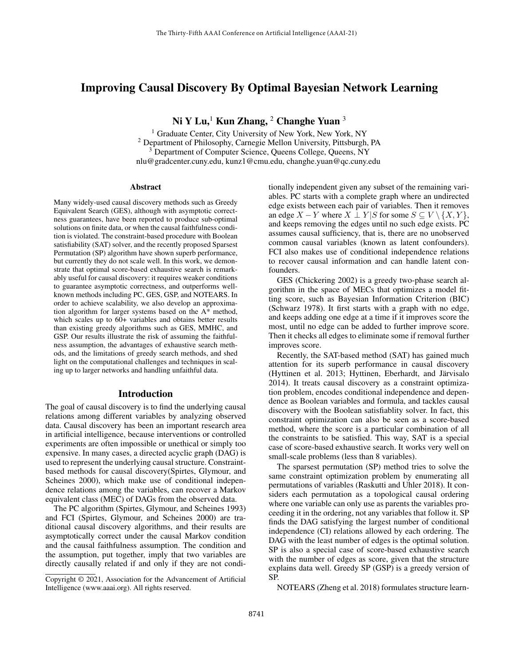# Improving Causal Discovery By Optimal Bayesian Network Learning

Ni Y Lu,<sup>1</sup> Kun Zhang, <sup>2</sup> Changhe Yuan  $3$ 

<sup>1</sup> Graduate Center, City University of New York, New York, NY <sup>2</sup> Department of Philosophy, Carnegie Mellon University, Pittsburgh, PA <sup>3</sup> Department of Computer Science, Queens College, Queens, NY nlu@gradcenter.cuny.edu, kunz1@cmu.edu, changhe.yuan@qc.cuny.edu

#### Abstract

Many widely-used causal discovery methods such as Greedy Equivalent Search (GES), although with asymptotic correctness guarantees, have been reported to produce sub-optimal solutions on finite data, or when the causal faithfulness condition is violated. The constraint-based procedure with Boolean satisfiability (SAT) solver, and the recently proposed Sparsest Permutation (SP) algorithm have shown superb performance, but currently they do not scale well. In this work, we demonstrate that optimal score-based exhaustive search is remarkably useful for causal discovery: it requires weaker conditions to guarantee asymptotic correctness, and outperforms wellknown methods including PC, GES, GSP, and NOTEARS. In order to achieve scalability, we also develop an approximation algorithm for larger systems based on the A\* method, which scales up to 60+ variables and obtains better results than existing greedy algorithms such as GES, MMHC, and GSP. Our results illustrate the risk of assuming the faithfulness assumption, the advantages of exhaustive search methods, and the limitations of greedy search methods, and shed light on the computational challenges and techniques in scaling up to larger networks and handling unfaithful data.

#### Introduction

The goal of causal discovery is to find the underlying causal relations among different variables by analyzing observed data. Causal discovery has been an important research area in artificial intelligence, because interventions or controlled experiments are often impossible or unethical or simply too expensive. In many cases, a directed acyclic graph (DAG) is used to represent the underlying causal structure. Constraintbased methods for causal discovery(Spirtes, Glymour, and Scheines 2000), which make use of conditional independence relations among the variables, can recover a Markov equivalent class (MEC) of DAGs from the observed data.

The PC algorithm (Spirtes, Glymour, and Scheines 1993) and FCI (Spirtes, Glymour, and Scheines 2000) are traditional causal discovery algorithms, and their results are asymptotically correct under the causal Markov condition and the causal faithfulness assumption. The condition and the assumption, put together, imply that two variables are directly causally related if and only if they are not conditionally independent given any subset of the remaining variables. PC starts with a complete graph where an undirected edge exists between each pair of variables. Then it removes an edge  $X - Y$  where  $X \perp Y | S$  for some  $S \subseteq V \setminus \{X, Y\},\$ and keeps removing the edges until no such edge exists. PC assumes causal sufficiency, that is, there are no unobserved common causal variables (known as latent confounders). FCI also makes use of conditional independence relations to recover causal information and can handle latent confounders.

GES (Chickering 2002) is a greedy two-phase search algorithm in the space of MECs that optimizes a model fitting score, such as Bayesian Information Criterion (BIC) (Schwarz 1978). It first starts with a graph with no edge, and keeps adding one edge at a time if it improves score the most, until no edge can be added to further improve score. Then it checks all edges to eliminate some if removal further improves score.

Recently, the SAT-based method (SAT) has gained much attention for its superb performance in causal discovery (Hyttinen et al. 2013; Hyttinen, Eberhardt, and Järvisalo 2014). It treats causal discovery as a constraint optimization problem, encodes conditional independence and dependence as Boolean variables and formula, and tackles causal discovery with the Boolean satisfiablity solver. In fact, this constraint optimization can also be seen as a score-based method, where the score is a particular combination of all the constraints to be satisfied. This way, SAT is a special case of score-based exhaustive search. It works very well on small-scale problems (less than 8 variables).

The sparsest permutation (SP) method tries to solve the same constraint optimization problem by enumerating all permutations of variables (Raskutti and Uhler 2018). It considers each permutation as a topological causal ordering where one variable can only use as parents the variables proceeding it in the ordering, not any variables that follow it. SP finds the DAG satisfying the largest number of conditional independence (CI) relations allowed by each ordering. The DAG with the least number of edges is the optimal solution. SP is also a special case of score-based exhaustive search with the number of edges as score, given that the structure explains data well. Greedy SP (GSP) is a greedy version of SP.

NOTEARS (Zheng et al. 2018) formulates structure learn-

Copyright © 2021, Association for the Advancement of Artificial Intelligence (www.aaai.org). All rights reserved.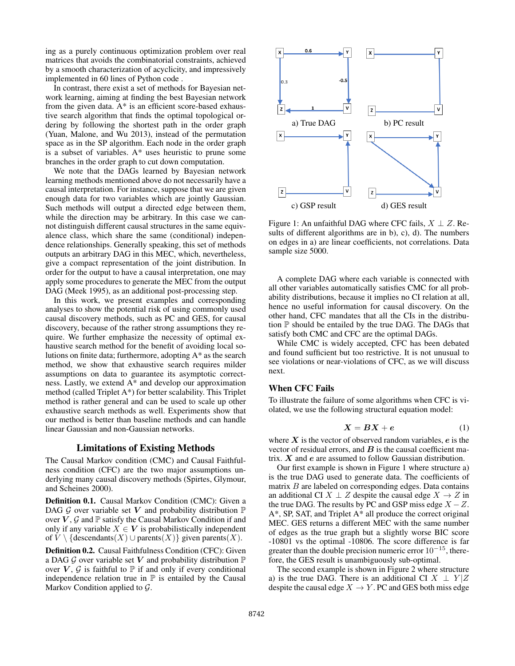ing as a purely continuous optimization problem over real matrices that avoids the combinatorial constraints, achieved by a smooth characterization of acyclicity, and impressively implemented in 60 lines of Python code .

In contrast, there exist a set of methods for Bayesian network learning, aiming at finding the best Bayesian network from the given data. A\* is an efficient score-based exhaustive search algorithm that finds the optimal topological ordering by following the shortest path in the order graph (Yuan, Malone, and Wu 2013), instead of the permutation space as in the SP algorithm. Each node in the order graph is a subset of variables. A\* uses heuristic to prune some branches in the order graph to cut down computation.

We note that the DAGs learned by Bayesian network learning methods mentioned above do not necessarily have a causal interpretation. For instance, suppose that we are given enough data for two variables which are jointly Gaussian. Such methods will output a directed edge between them, while the direction may be arbitrary. In this case we cannot distinguish different causal structures in the same equivalence class, which share the same (conditional) independence relationships. Generally speaking, this set of methods outputs an arbitrary DAG in this MEC, which, nevertheless, give a compact representation of the joint distribution. In order for the output to have a causal interpretation, one may apply some procedures to generate the MEC from the output DAG (Meek 1995), as an additional post-processing step.

In this work, we present examples and corresponding analyses to show the potential risk of using commonly used causal discovery methods, such as PC and GES, for causal discovery, because of the rather strong assumptions they require. We further emphasize the necessity of optimal exhaustive search method for the benefit of avoiding local solutions on finite data; furthermore, adopting A\* as the search method, we show that exhaustive search requires milder assumptions on data to guarantee its asymptotic correctness. Lastly, we extend A\* and develop our approximation method (called Triplet A\*) for better scalability. This Triplet method is rather general and can be used to scale up other exhaustive search methods as well. Experiments show that our method is better than baseline methods and can handle linear Gaussian and non-Gaussian networks.

## Limitations of Existing Methods

The Causal Markov condition (CMC) and Causal Faithfulness condition (CFC) are the two major assumptions underlying many causal discovery methods (Spirtes, Glymour, and Scheines 2000).

Definition 0.1. Causal Markov Condition (CMC): Given a DAG  $G$  over variable set V and probability distribution  $\mathbb P$ over  $V$ ,  $\mathcal G$  and  $\mathbb P$  satisfy the Causal Markov Condition if and only if any variable  $X \in V$  is probabilistically independent of  $V \setminus \{$  descendants $(X)$  ∪ parents $(X)$ } given parents $(X)$ .

Definition 0.2. Causal Faithfulness Condition (CFC): Given a DAG  $G$  over variable set V and probability distribution  $\mathbb P$ over  $V$ ,  $G$  is faithful to  $\mathbb P$  if and only if every conditional independence relation true in  $\mathbb P$  is entailed by the Causal Markov Condition applied to  $\mathcal{G}$ .



Figure 1: An unfaithful DAG where CFC fails,  $X \perp Z$ . Results of different algorithms are in b), c), d). The numbers on edges in a) are linear coefficients, not correlations. Data sample size 5000.

A complete DAG where each variable is connected with all other variables automatically satisfies CMC for all probability distributions, because it implies no CI relation at all, hence no useful information for causal discovery. On the other hand, CFC mandates that all the CIs in the distribution P should be entailed by the true DAG. The DAGs that satisfy both CMC and CFC are the optimal DAGs.

While CMC is widely accepted, CFC has been debated and found sufficient but too restrictive. It is not unusual to see violations or near-violations of CFC, as we will discuss next.

## When CFC Fails

To illustrate the failure of some algorithms when CFC is violated, we use the following structural equation model:

$$
X = BX + e \tag{1}
$$

where  $X$  is the vector of observed random variables,  $e$  is the vector of residual errors, and  $\bf{B}$  is the causal coefficient matrix.  $X$  and  $e$  are assumed to follow Gaussian distribution.

Our first example is shown in Figure 1 where structure a) is the true DAG used to generate data. The coefficients of matrix  $B$  are labeled on corresponding edges. Data contains an additional CI  $X \perp Z$  despite the causal edge  $X \rightarrow Z$  in the true DAG. The results by PC and GSP miss edge  $X - Z$ . A\*, SP, SAT, and Triplet A\* all produce the correct original MEC. GES returns a different MEC with the same number of edges as the true graph but a slightly worse BIC score -10801 vs the optimal -10806. The score difference is far greater than the double precision numeric error  $10^{-15}$ , therefore, the GES result is unambiguously sub-optimal.

The second example is shown in Figure 2 where structure a) is the true DAG. There is an additional CI  $X \perp Y/Z$ despite the causal edge  $X \to Y$ . PC and GES both miss edge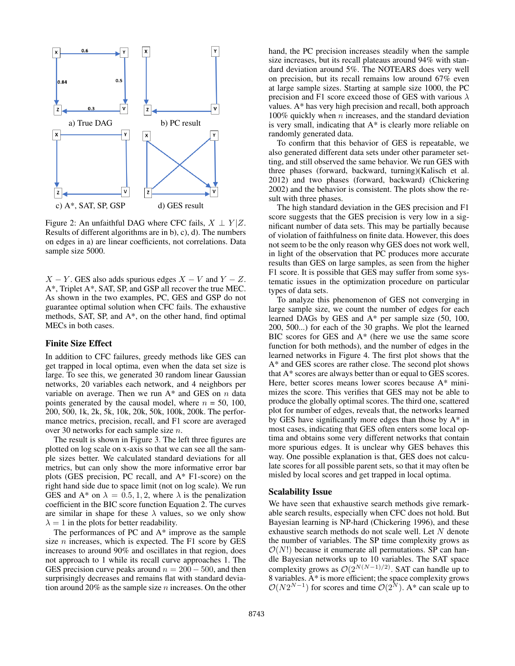

Figure 2: An unfaithful DAG where CFC fails,  $X \perp Y/Z$ . Results of different algorithms are in b), c), d). The numbers on edges in a) are linear coefficients, not correlations. Data sample size 5000.

 $X - Y$ . GES also adds spurious edges  $X - V$  and  $Y - Z$ . A\*, Triplet A\*, SAT, SP, and GSP all recover the true MEC. As shown in the two examples, PC, GES and GSP do not guarantee optimal solution when CFC fails. The exhaustive methods, SAT, SP, and A\*, on the other hand, find optimal MECs in both cases.

#### Finite Size Effect

In addition to CFC failures, greedy methods like GES can get trapped in local optima, even when the data set size is large. To see this, we generated 30 random linear Gaussian networks, 20 variables each network, and 4 neighbors per variable on average. Then we run  $A^*$  and GES on  $n$  data points generated by the causal model, where  $n = 50, 100$ , 200, 500, 1k, 2k, 5k, 10k, 20k, 50k, 100k, 200k. The performance metrics, precision, recall, and F1 score are averaged over 30 networks for each sample size n.

The result is shown in Figure 3. The left three figures are plotted on log scale on x-axis so that we can see all the sample sizes better. We calculated standard deviations for all metrics, but can only show the more informative error bar plots (GES precision, PC recall, and A\* F1-score) on the right hand side due to space limit (not on log scale). We run GES and A\* on  $\lambda = 0.5, 1, 2$ , where  $\lambda$  is the penalization coefficient in the BIC score function Equation 2. The curves are similar in shape for these  $\lambda$  values, so we only show  $\lambda = 1$  in the plots for better readability.

The performances of PC and A\* improve as the sample size  $n$  increases, which is expected. The F1 score by GES increases to around 90% and oscillates in that region, does not approach to 1 while its recall curve approaches 1. The GES precision curve peaks around  $n = 200 - 500$ , and then surprisingly decreases and remains flat with standard deviation around 20% as the sample size  $n$  increases. On the other

hand, the PC precision increases steadily when the sample size increases, but its recall plateaus around 94% with standard deviation around 5%. The NOTEARS does very well on precision, but its recall remains low around 67% even at large sample sizes. Starting at sample size 1000, the PC precision and F1 score exceed those of GES with various  $\lambda$ values. A\* has very high precision and recall, both approach 100% quickly when  $n$  increases, and the standard deviation is very small, indicating that A\* is clearly more reliable on randomly generated data.

To confirm that this behavior of GES is repeatable, we also generated different data sets under other parameter setting, and still observed the same behavior. We run GES with three phases (forward, backward, turning)(Kalisch et al. 2012) and two phases (forward, backward) (Chickering 2002) and the behavior is consistent. The plots show the result with three phases.

The high standard deviation in the GES precision and F1 score suggests that the GES precision is very low in a significant number of data sets. This may be partially because of violation of faithfulness on finite data. However, this does not seem to be the only reason why GES does not work well, in light of the observation that PC produces more accurate results than GES on large samples, as seen from the higher F1 score. It is possible that GES may suffer from some systematic issues in the optimization procedure on particular types of data sets.

To analyze this phenomenon of GES not converging in large sample size, we count the number of edges for each learned DAGs by GES and A\* per sample size (50, 100, 200, 500...) for each of the 30 graphs. We plot the learned BIC scores for GES and A\* (here we use the same score function for both methods), and the number of edges in the learned networks in Figure 4. The first plot shows that the A\* and GES scores are rather close. The second plot shows that A\* scores are always better than or equal to GES scores. Here, better scores means lower scores because A\* minimizes the score. This verifies that GES may not be able to produce the globally optimal scores. The third one, scattered plot for number of edges, reveals that, the networks learned by GES have significantly more edges than those by  $A^*$  in most cases, indicating that GES often enters some local optima and obtains some very different networks that contain more spurious edges. It is unclear why GES behaves this way. One possible explanation is that, GES does not calculate scores for all possible parent sets, so that it may often be misled by local scores and get trapped in local optima.

#### Scalability Issue

We have seen that exhaustive search methods give remarkable search results, especially when CFC does not hold. But Bayesian learning is NP-hard (Chickering 1996), and these exhaustive search methods do not scale well. Let N denote the number of variables. The SP time complexity grows as  $\mathcal{O}(N!)$  because it enumerate all permutations. SP can handle Bayesian networks up to 10 variables. The SAT space complexity grows as  $O(2^{N(N-1)/2})$ . SAT can handle up to 8 variables.  $A^*$  is more efficient; the space complexity grows  $\mathcal{O}(N2^{N-1})$  for scores and time  $\mathcal{O}(2^N)$ . A\* can scale up to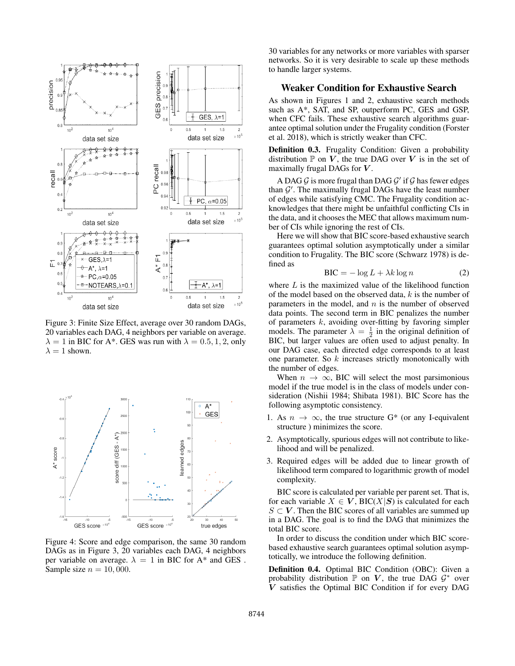

Figure 3: Finite Size Effect, average over 30 random DAGs, 20 variables each DAG, 4 neighbors per variable on average.  $\lambda = 1$  in BIC for A<sup>\*</sup>. GES was run with  $\lambda = 0.5, 1, 2$ , only  $\lambda = 1$  shown.



Figure 4: Score and edge comparison, the same 30 random DAGs as in Figure 3, 20 variables each DAG, 4 neighbors per variable on average.  $\lambda = 1$  in BIC for A\* and GES. Sample size  $n = 10,000$ .

30 variables for any networks or more variables with sparser networks. So it is very desirable to scale up these methods to handle larger systems.

## Weaker Condition for Exhaustive Search

As shown in Figures 1 and 2, exhaustive search methods such as A\*, SAT, and SP, outperform PC, GES and GSP, when CFC fails. These exhaustive search algorithms guarantee optimal solution under the Frugality condition (Forster et al. 2018), which is strictly weaker than CFC.

Definition 0.3. Frugality Condition: Given a probability distribution  $\mathbb P$  on  $V$ , the true DAG over  $V$  is in the set of maximally frugal DAGs for  $V$ .

A DAG  $\mathcal G$  is more frugal than DAG  $\mathcal G'$  if  $\mathcal G$  has fewer edges than  $G'$ . The maximally frugal DAGs have the least number of edges while satisfying CMC. The Frugality condition acknowledges that there might be unfaithful conflicting CIs in the data, and it chooses the MEC that allows maximum number of CIs while ignoring the rest of CIs.

Here we will show that BIC score-based exhaustive search guarantees optimal solution asymptotically under a similar condition to Frugality. The BIC score (Schwarz 1978) is defined as

$$
BIC = -\log L + \lambda k \log n \tag{2}
$$

where  $L$  is the maximized value of the likelihood function of the model based on the observed data,  $k$  is the number of parameters in the model, and  $n$  is the number of observed data points. The second term in BIC penalizes the number of parameters  $k$ , avoiding over-fitting by favoring simpler models. The parameter  $\lambda = \frac{1}{2}$  in the original definition of BIC, but larger values are often used to adjust penalty. In our DAG case, each directed edge corresponds to at least one parameter. So k increases strictly monotonically with the number of edges.

When  $n \to \infty$ , BIC will select the most parsimonious model if the true model is in the class of models under consideration (Nishii 1984; Shibata 1981). BIC Score has the following asymptotic consistency.

- 1. As  $n \to \infty$ , the true structure G<sup>\*</sup> (or any I-equivalent structure ) minimizes the score.
- 2. Asymptotically, spurious edges will not contribute to likelihood and will be penalized.
- 3. Required edges will be added due to linear growth of likelihood term compared to logarithmic growth of model complexity.

BIC score is calculated per variable per parent set. That is, for each variable  $X \in V$ , BIC(X|S) is calculated for each  $S \subset V$ . Then the BIC scores of all variables are summed up in a DAG. The goal is to find the DAG that minimizes the total BIC score.

In order to discuss the condition under which BIC scorebased exhaustive search guarantees optimal solution asymptotically, we introduce the following definition.

Definition 0.4. Optimal BIC Condition (OBC): Given a probability distribution  $\mathbb P$  on  $V$ , the true DAG  $\mathcal G^*$  over V satisfies the Optimal BIC Condition if for every DAG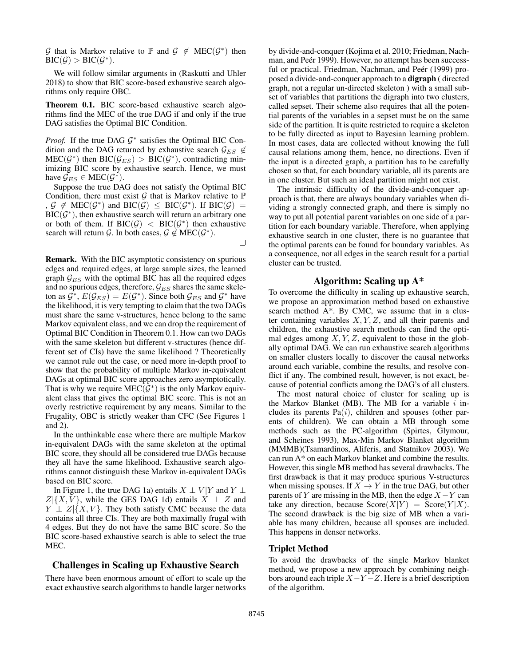G that is Markov relative to  $\mathbb P$  and  $\mathcal G \notin \mathrm{MEC}(\mathcal G^*)$  then  $\text{BIC}(\mathcal{G}) > \text{BIC}(\mathcal{G}^*).$ 

We will follow similar arguments in (Raskutti and Uhler 2018) to show that BIC score-based exhaustive search algorithms only require OBC.

Theorem 0.1. BIC score-based exhaustive search algorithms find the MEC of the true DAG if and only if the true DAG satisfies the Optimal BIC Condition.

*Proof.* If the true DAG  $G^*$  satisfies the Optimal BIC Condition and the DAG returned by exhaustive search  $\mathcal{G}_{ES} \notin$  $MEC(\mathcal{G}^*)$  then  $BIC(\mathcal{G}_{ES}) > BIC(\mathcal{G}^*)$ , contradicting minimizing BIC score by exhaustive search. Hence, we must have  $\mathcal{G}_{ES} \in \text{MEC}(\mathcal{G}^*)$ .

Suppose the true DAG does not satisfy the Optimal BIC Condition, there must exist  $G$  that is Markov relative to  $\mathbb P$  $g \notin \text{MEC}(\mathcal{G}^*)$  and  $\text{BIC}(\mathcal{G}) \leq \text{BIC}(\mathcal{G}^*)$ . If  $\text{BIC}(\mathcal{G}) =$  $BIC(\mathcal{G}^*)$ , then exhaustive search will return an arbitrary one or both of them. If BIC( $G$ ) < BIC( $G^*$ ) then exhaustive search will return G. In both cases,  $\mathcal{G} \notin \text{MEC}(\mathcal{G}^*)$ .  $\Box$ 

Remark. With the BIC asymptotic consistency on spurious edges and required edges, at large sample sizes, the learned graph  $\mathcal{G}_{ES}$  with the optimal BIC has all the required edges and no spurious edges, therefore,  $\mathcal{G}_{ES}$  shares the same skeleton as  $\mathcal{G}^*$ ,  $E(\mathcal{G}_{ES}) = E(\mathcal{G}^*)$ . Since both  $\mathcal{G}_{ES}$  and  $\mathcal{G}^*$  have the likelihood, it is very tempting to claim that the two DAGs must share the same v-structures, hence belong to the same Markov equivalent class, and we can drop the requirement of Optimal BIC Condition in Theorem 0.1. How can two DAGs with the same skeleton but different v-structures (hence different set of CIs) have the same likelihood ? Theoretically we cannot rule out the case, or need more in-depth proof to show that the probability of multiple Markov in-equivalent DAGs at optimal BIC score approaches zero asymptotically. That is why we require MEC( $\hat{G}^*$ ) is the only Markov equivalent class that gives the optimal BIC score. This is not an overly restrictive requirement by any means. Similar to the Frugality, OBC is strictly weaker than CFC (See Figures 1 and 2).

In the unthinkable case where there are multiple Markov in-equivalent DAGs with the same skeleton at the optimal BIC score, they should all be considered true DAGs because they all have the same likelihood. Exhaustive search algorithms cannot distinguish these Markov in-equivalent DAGs based on BIC score.

In Figure 1, the true DAG 1a) entails  $X \perp V|Y$  and  $Y \perp Y$  $Z|\{X,V\}$ , while the GES DAG 1d) entails  $X \perp Z$  and  $Y \perp Z | \{X, V\}$ . They both satisfy CMC because the data contains all three CIs. They are both maximally frugal with 4 edges. But they do not have the same BIC score. So the BIC score-based exhaustive search is able to select the true MEC.

#### Challenges in Scaling up Exhaustive Search

There have been enormous amount of effort to scale up the exact exhaustive search algorithms to handle larger networks

by divide-and-conquer (Kojima et al. 2010; Friedman, Nachman, and Peér 1999). However, no attempt has been successful or practical. Friedman, Nachman, and Peér (1999) proposed a divide-and-conquer approach to a digraph ( directed graph, not a regular un-directed skeleton ) with a small subset of variables that partitions the digraph into two clusters, called sepset. Their scheme also requires that all the potential parents of the variables in a sepset must be on the same side of the partition. It is quite restricted to require a skeleton to be fully directed as input to Bayesian learning problem. In most cases, data are collected without knowing the full causal relations among them, hence, no directions. Even if the input is a directed graph, a partition has to be carefully chosen so that, for each boundary variable, all its parents are in one cluster. But such an ideal partition might not exist.

The intrinsic difficulty of the divide-and-conquer approach is that, there are always boundary variables when dividing a strongly connected graph, and there is simply no way to put all potential parent variables on one side of a partition for each boundary variable. Therefore, when applying exhaustive search in one cluster, there is no guarantee that the optimal parents can be found for boundary variables. As a consequence, not all edges in the search result for a partial cluster can be trusted.

#### Algorithm: Scaling up A\*

To overcome the difficulty in scaling up exhaustive search, we propose an approximation method based on exhaustive search method A\*. By CMC, we assume that in a cluster containing variables  $X, Y, Z$ , and all their parents and children, the exhaustive search methods can find the optimal edges among  $X, Y, Z$ , equivalent to those in the globally optimal DAG. We can run exhaustive search algorithms on smaller clusters locally to discover the causal networks around each variable, combine the results, and resolve conflict if any. The combined result, however, is not exact, because of potential conflicts among the DAG's of all clusters.

The most natural choice of cluster for scaling up is the Markov Blanket (MB). The MB for a variable  $i$  includes its parents  $Pa(i)$ , children and spouses (other parents of children). We can obtain a MB through some methods such as the PC-algorithm (Spirtes, Glymour, and Scheines 1993), Max-Min Markov Blanket algorithm (MMMB)(Tsamardinos, Aliferis, and Statnikov 2003). We can run A\* on each Markov blanket and combine the results. However, this single MB method has several drawbacks. The first drawback is that it may produce spurious V-structures when missing spouses. If  $X \to Y$  in the true DAG, but other parents of Y are missing in the MB, then the edge  $X-Y$  can take any direction, because  $Score(X|Y) = Score(Y|X)$ . The second drawback is the big size of MB when a variable has many children, because all spouses are included. This happens in denser networks.

### Triplet Method

To avoid the drawbacks of the single Markov blanket method, we propose a new approach by combining neighbors around each triple  $X-Y-Z$ . Here is a brief description of the algorithm.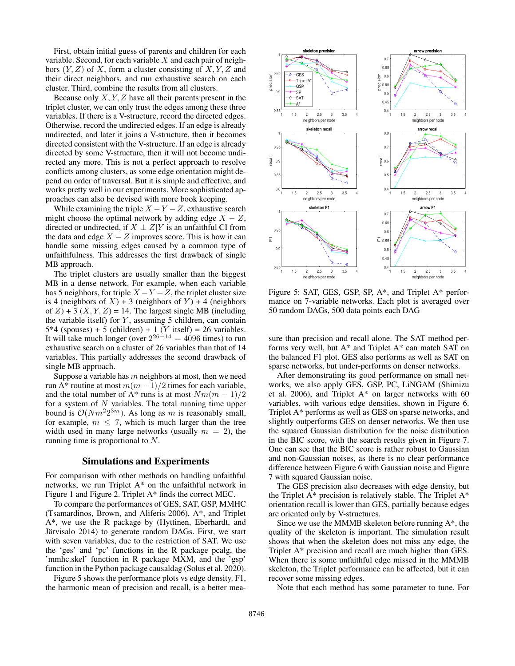First, obtain initial guess of parents and children for each variable. Second, for each variable  $X$  and each pair of neighbors  $(Y, Z)$  of X, form a cluster consisting of  $X, Y, Z$  and their direct neighbors, and run exhaustive search on each cluster. Third, combine the results from all clusters.

Because only  $X, Y, Z$  have all their parents present in the triplet cluster, we can only trust the edges among these three variables. If there is a V-structure, record the directed edges. Otherwise, record the undirected edges. If an edge is already undirected, and later it joins a V-structure, then it becomes directed consistent with the V-structure. If an edge is already directed by some V-structure, then it will not become undirected any more. This is not a perfect approach to resolve conflicts among clusters, as some edge orientation might depend on order of traversal. But it is simple and effective, and works pretty well in our experiments. More sophisticated approaches can also be devised with more book keeping.

While examining the triple  $X - Y - Z$ , exhaustive search might choose the optimal network by adding edge  $X - Z$ , directed or undirected, if  $X \perp Z|Y$  is an unfaithful CI from the data and edge  $X - Z$  improves score. This is how it can handle some missing edges caused by a common type of unfaithfulness. This addresses the first drawback of single MB approach.

The triplet clusters are usually smaller than the biggest MB in a dense network. For example, when each variable has 5 neighbors, for triple  $X - Y - Z$ , the triplet cluster size is 4 (neighbors of X) + 3 (neighbors of Y) + 4 (neighbors of  $Z$ ) + 3 (X, Y, Z) = 14. The largest single MB (including the variable itself) for  $Y$ , assuming 5 children, can contain  $5*4$  (spouses) + 5 (children) + 1 (Y itself) = 26 variables. It will take much longer (over  $2^{26-14} = 4096$  times) to run exhaustive search on a cluster of 26 variables than that of 14 variables. This partially addresses the second drawback of single MB approach.

Suppose a variable has  $m$  neighbors at most, then we need run A\* routine at most  $m(m-1)/2$  times for each variable, and the total number of A\* runs is at most  $Nm(m-1)/2$ for a system of  $N$  variables. The total running time upper bound is  $\mathcal{O}(Nm^2 2^{3m})$ . As long as m is reasonably small, for example,  $m \leq 7$ , which is much larger than the tree width used in many large networks (usually  $m = 2$ ), the running time is proportional to N.

#### Simulations and Experiments

For comparison with other methods on handling unfaithful networks, we run Triplet A\* on the unfaithful network in Figure 1 and Figure 2. Triplet A\* finds the correct MEC.

To compare the performances of GES, SAT, GSP, MMHC (Tsamardinos, Brown, and Aliferis 2006), A\*, and Triplet A\*, we use the R package by (Hyttinen, Eberhardt, and Järvisalo 2014) to generate random DAGs. First, we start with seven variables, due to the restriction of SAT. We use the 'ges' and 'pc' functions in the R package pcalg, the 'mmhc.skel' function in R package MXM, and the 'gsp' function in the Python package causaldag (Solus et al. 2020).

Figure 5 shows the performance plots vs edge density. F1, the harmonic mean of precision and recall, is a better mea-



Figure 5: SAT, GES, GSP, SP, A\*, and Triplet A\* performance on 7-variable networks. Each plot is averaged over 50 random DAGs, 500 data points each DAG

sure than precision and recall alone. The SAT method performs very well, but A\* and Triplet A\* can match SAT on the balanced F1 plot. GES also performs as well as SAT on sparse networks, but under-performs on denser networks.

After demonstrating its good performance on small networks, we also apply GES, GSP, PC, LiNGAM (Shimizu et al. 2006), and Triplet  $A^*$  on larger networks with 60 variables, with various edge densities, shown in Figure 6. Triplet A\* performs as well as GES on sparse networks, and slightly outperforms GES on denser networks. We then use the squared Gaussian distribution for the noise distribution in the BIC score, with the search results given in Figure 7. One can see that the BIC score is rather robust to Gaussian and non-Gaussian noises, as there is no clear performance difference between Figure 6 with Gaussian noise and Figure 7 with squared Gaussian noise.

The GES precision also decreases with edge density, but the Triplet  $A^*$  precision is relatively stable. The Triplet  $A^*$ orientation recall is lower than GES, partially because edges are oriented only by V-structures.

Since we use the MMMB skeleton before running A\*, the quality of the skeleton is important. The simulation result shows that when the skeleton does not miss any edge, the Triplet A\* precision and recall are much higher than GES. When there is some unfaithful edge missed in the MMMB skeleton, the Triplet performance can be affected, but it can recover some missing edges.

Note that each method has some parameter to tune. For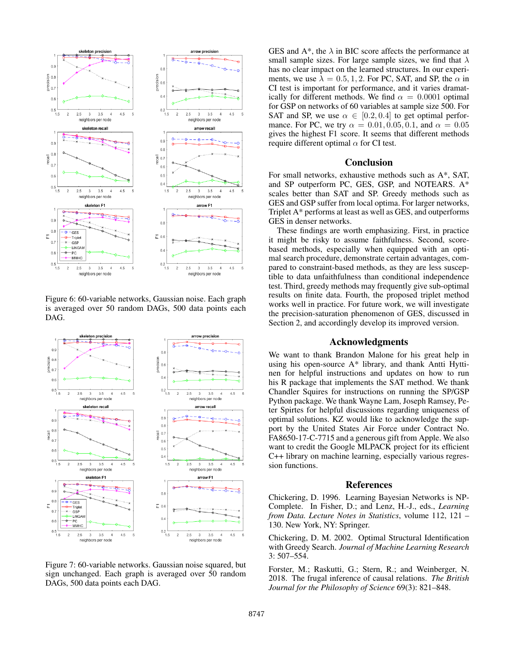

Figure 6: 60-variable networks, Gaussian noise. Each graph is averaged over 50 random DAGs, 500 data points each DAG.



Figure 7: 60-variable networks. Gaussian noise squared, but sign unchanged. Each graph is averaged over 50 random DAGs, 500 data points each DAG.

GES and  $A^*$ , the  $\lambda$  in BIC score affects the performance at small sample sizes. For large sample sizes, we find that  $\lambda$ has no clear impact on the learned structures. In our experiments, we use  $\lambda = 0.5, 1, 2$ . For PC, SAT, and SP, the  $\alpha$  in CI test is important for performance, and it varies dramatically for different methods. We find  $\alpha = 0.0001$  optimal for GSP on networks of 60 variables at sample size 500. For SAT and SP, we use  $\alpha \in [0.2, 0.4]$  to get optimal performance. For PC, we try  $\alpha = 0.01, 0.05, 0.1$ , and  $\alpha = 0.05$ gives the highest F1 score. It seems that different methods require different optimal  $\alpha$  for CI test.

#### Conclusion

For small networks, exhaustive methods such as A\*, SAT, and SP outperform PC, GES, GSP, and NOTEARS. A\* scales better than SAT and SP. Greedy methods such as GES and GSP suffer from local optima. For larger networks, Triplet A\* performs at least as well as GES, and outperforms GES in denser networks.

These findings are worth emphasizing. First, in practice it might be risky to assume faithfulness. Second, scorebased methods, especially when equipped with an optimal search procedure, demonstrate certain advantages, compared to constraint-based methods, as they are less susceptible to data unfaithfulness than conditional independence test. Third, greedy methods may frequently give sub-optimal results on finite data. Fourth, the proposed triplet method works well in practice. For future work, we will investigate the precision-saturation phenomenon of GES, discussed in Section 2, and accordingly develop its improved version.

## Acknowledgments

We want to thank Brandon Malone for his great help in using his open-source A\* library, and thank Antti Hyttinen for helpful instructions and updates on how to run his R package that implements the SAT method. We thank Chandler Squires for instructions on running the SP/GSP Python package. We thank Wayne Lam, Joseph Ramsey, Peter Spirtes for helpful discussions regarding uniqueness of optimal solutions. KZ would like to acknowledge the support by the United States Air Force under Contract No. FA8650-17-C-7715 and a generous gift from Apple. We also want to credit the Google MLPACK project for its efficient C++ library on machine learning, especially various regression functions.

# References

Chickering, D. 1996. Learning Bayesian Networks is NP-Complete. In Fisher, D.; and Lenz, H.-J., eds., *Learning from Data. Lecture Notes in Statistics*, volume 112, 121 – 130. New York, NY: Springer.

Chickering, D. M. 2002. Optimal Structural Identification with Greedy Search. *Journal of Machine Learning Research* 3: 507–554.

Forster, M.; Raskutti, G.; Stern, R.; and Weinberger, N. 2018. The frugal inference of causal relations. *The British Journal for the Philosophy of Science* 69(3): 821–848.